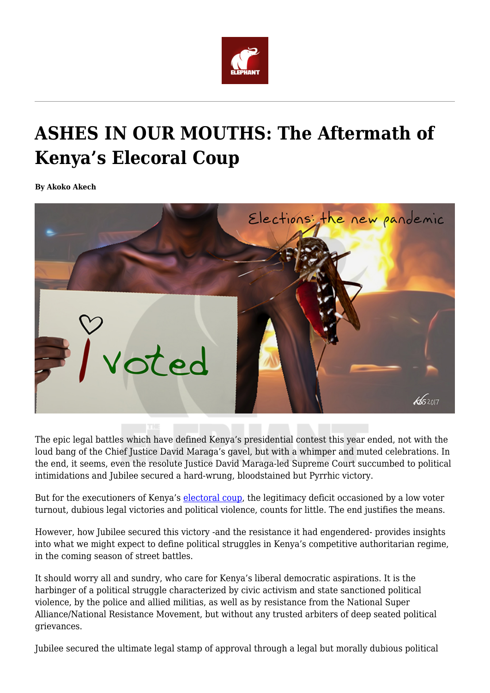

## **ASHES IN OUR MOUTHS: The Aftermath of Kenya's Elecoral Coup**

**By Akoko Akech**



The epic legal battles which have defined Kenya's presidential contest this year ended, not with the loud bang of the Chief Justice David Maraga's gavel, but with a whimper and muted celebrations. In the end, it seems, even the resolute Justice David Maraga-led Supreme Court succumbed to political intimidations and Jubilee secured a hard-wrung, bloodstained but Pyrrhic victory.

But for the executioners of Kenya's [electoral coup](https://www.theelephant.info/features/2017/11/03/electoral-coups-a-rough-guide-to-winning-elections-in-kenya/), the legitimacy deficit occasioned by a low voter turnout, dubious legal victories and political violence, counts for little. The end justifies the means.

However, how Jubilee secured this victory -and the resistance it had engendered- provides insights into what we might expect to define political struggles in Kenya's competitive authoritarian regime, in the coming season of street battles.

It should worry all and sundry, who care for Kenya's liberal democratic aspirations. It is the harbinger of a political struggle characterized by civic activism and state sanctioned political violence, by the police and allied militias, as well as by resistance from the National Super Alliance/National Resistance Movement, but without any trusted arbiters of deep seated political grievances.

Jubilee secured the ultimate legal stamp of approval through a legal but morally dubious political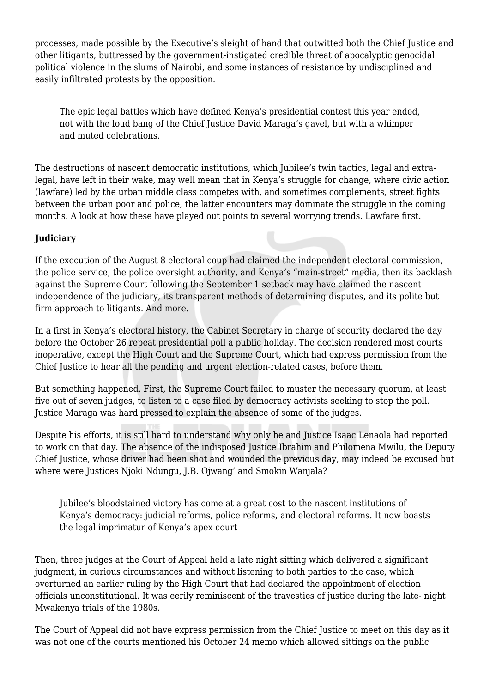processes, made possible by the Executive's sleight of hand that outwitted both the Chief Justice and other litigants, buttressed by the government-instigated credible threat of apocalyptic genocidal political violence in the slums of Nairobi, and some instances of resistance by undisciplined and easily infiltrated protests by the opposition.

The epic legal battles which have defined Kenya's presidential contest this year ended, not with the loud bang of the Chief Justice David Maraga's gavel, but with a whimper and muted celebrations.

The destructions of nascent democratic institutions, which Jubilee's twin tactics, legal and extralegal, have left in their wake, may well mean that in Kenya's struggle for change, where civic action (lawfare) led by the urban middle class competes with, and sometimes complements, street fights between the urban poor and police, the latter encounters may dominate the struggle in the coming months. A look at how these have played out points to several worrying trends. Lawfare first.

## **Judiciary**

If the execution of the August 8 electoral coup had claimed the independent electoral commission, the police service, the police oversight authority, and Kenya's "main-street" media, then its backlash against the Supreme Court following the September 1 setback may have claimed the nascent independence of the judiciary, its transparent methods of determining disputes, and its polite but firm approach to litigants. And more.

In a first in Kenya's electoral history, the Cabinet Secretary in charge of security declared the day before the October 26 repeat presidential poll a public holiday. The decision rendered most courts inoperative, except the High Court and the Supreme Court, which had express permission from the Chief Justice to hear all the pending and urgent election-related cases, before them.

But something happened. First, the Supreme Court failed to muster the necessary quorum, at least five out of seven judges, to listen to a case filed by democracy activists seeking to stop the poll. Justice Maraga was hard pressed to explain the absence of some of the judges.

Despite his efforts, it is still hard to understand why only he and Justice Isaac Lenaola had reported to work on that day. The absence of the indisposed Justice Ibrahim and Philomena Mwilu, the Deputy Chief Justice, whose driver had been shot and wounded the previous day, may indeed be excused but where were Justices Njoki Ndungu, J.B. Ojwang' and Smokin Wanjala?

Jubilee's bloodstained victory has come at a great cost to the nascent institutions of Kenya's democracy: judicial reforms, police reforms, and electoral reforms. It now boasts the legal imprimatur of Kenya's apex court

Then, three judges at the Court of Appeal held a late night sitting which delivered a significant judgment, in curious circumstances and without listening to both parties to the case, which overturned an earlier ruling by the High Court that had declared the appointment of election officials unconstitutional. It was eerily reminiscent of the travesties of justice during the late- night Mwakenya trials of the 1980s.

The Court of Appeal did not have express permission from the Chief Justice to meet on this day as it was not one of the courts mentioned his October 24 memo which allowed sittings on the public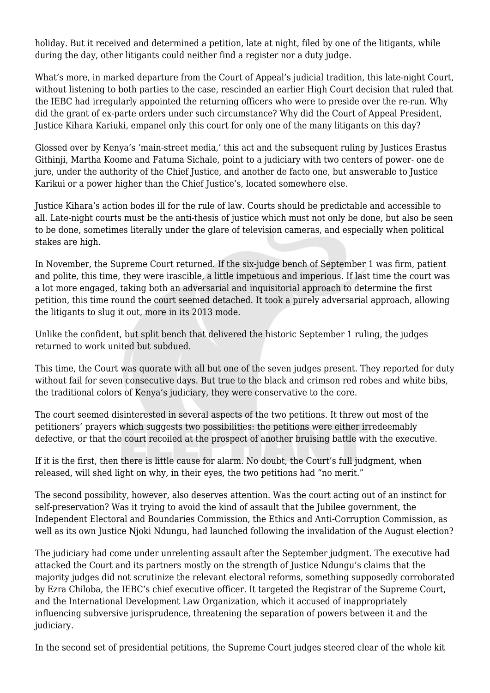holiday. But it received and determined a petition, late at night, filed by one of the litigants, while during the day, other litigants could neither find a register nor a duty judge.

What's more, in marked departure from the Court of Appeal's judicial tradition, this late-night Court, without listening to both parties to the case, rescinded an earlier High Court decision that ruled that the IEBC had irregularly appointed the returning officers who were to preside over the re-run. Why did the grant of ex-parte orders under such circumstance? Why did the Court of Appeal President, Justice Kihara Kariuki, empanel only this court for only one of the many litigants on this day?

Glossed over by Kenya's 'main-street media,' this act and the subsequent ruling by Justices Erastus Githinji, Martha Koome and Fatuma Sichale, point to a judiciary with two centers of power- one de jure, under the authority of the Chief Justice, and another de facto one, but answerable to Justice Karikui or a power higher than the Chief Justice's, located somewhere else.

Justice Kihara's action bodes ill for the rule of law. Courts should be predictable and accessible to all. Late-night courts must be the anti-thesis of justice which must not only be done, but also be seen to be done, sometimes literally under the glare of television cameras, and especially when political stakes are high.

In November, the Supreme Court returned. If the six-judge bench of September 1 was firm, patient and polite, this time, they were irascible, a little impetuous and imperious. If last time the court was a lot more engaged, taking both an adversarial and inquisitorial approach to determine the first petition, this time round the court seemed detached. It took a purely adversarial approach, allowing the litigants to slug it out, more in its 2013 mode.

Unlike the confident, but split bench that delivered the historic September 1 ruling, the judges returned to work united but subdued.

This time, the Court was quorate with all but one of the seven judges present. They reported for duty without fail for seven consecutive days. But true to the black and crimson red robes and white bibs, the traditional colors of Kenya's judiciary, they were conservative to the core.

The court seemed disinterested in several aspects of the two petitions. It threw out most of the petitioners' prayers which suggests two possibilities: the petitions were either irredeemably defective, or that the court recoiled at the prospect of another bruising battle with the executive.

If it is the first, then there is little cause for alarm. No doubt, the Court's full judgment, when released, will shed light on why, in their eyes, the two petitions had "no merit."

The second possibility, however, also deserves attention. Was the court acting out of an instinct for self-preservation? Was it trying to avoid the kind of assault that the Jubilee government, the Independent Electoral and Boundaries Commission, the Ethics and Anti-Corruption Commission, as well as its own Justice Njoki Ndungu, had launched following the invalidation of the August election?

The judiciary had come under unrelenting assault after the September judgment. The executive had attacked the Court and its partners mostly on the strength of Justice Ndungu's claims that the majority judges did not scrutinize the relevant electoral reforms, something supposedly corroborated by Ezra Chiloba, the IEBC's chief executive officer. It targeted the Registrar of the Supreme Court, and the International Development Law Organization, which it accused of inappropriately influencing subversive jurisprudence, threatening the separation of powers between it and the judiciary.

In the second set of presidential petitions, the Supreme Court judges steered clear of the whole kit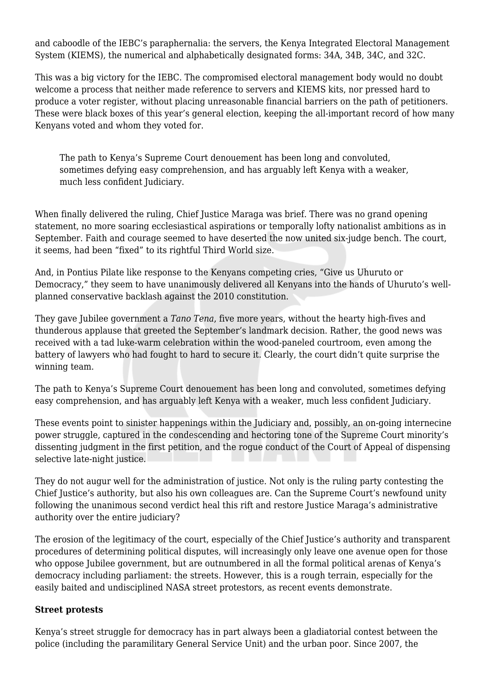and caboodle of the IEBC's paraphernalia: the servers, the Kenya Integrated Electoral Management System (KIEMS), the numerical and alphabetically designated forms: 34A, 34B, 34C, and 32C.

This was a big victory for the IEBC. The compromised electoral management body would no doubt welcome a process that neither made reference to servers and KIEMS kits, nor pressed hard to produce a voter register, without placing unreasonable financial barriers on the path of petitioners. These were black boxes of this year's general election, keeping the all-important record of how many Kenyans voted and whom they voted for.

The path to Kenya's Supreme Court denouement has been long and convoluted, sometimes defying easy comprehension, and has arguably left Kenya with a weaker, much less confident Judiciary.

When finally delivered the ruling, Chief Justice Maraga was brief. There was no grand opening statement, no more soaring ecclesiastical aspirations or temporally lofty nationalist ambitions as in September. Faith and courage seemed to have deserted the now united six-judge bench. The court, it seems, had been "fixed" to its rightful Third World size.

And, in Pontius Pilate like response to the Kenyans competing cries, "Give us Uhuruto or Democracy," they seem to have unanimously delivered all Kenyans into the hands of Uhuruto's wellplanned conservative backlash against the 2010 constitution.

They gave Jubilee government a *Tano Tena*, five more years, without the hearty high-fives and thunderous applause that greeted the September's landmark decision. Rather, the good news was received with a tad luke-warm celebration within the wood-paneled courtroom, even among the battery of lawyers who had fought to hard to secure it. Clearly, the court didn't quite surprise the winning team.

The path to Kenya's Supreme Court denouement has been long and convoluted, sometimes defying easy comprehension, and has arguably left Kenya with a weaker, much less confident Judiciary.

These events point to sinister happenings within the Judiciary and, possibly, an on-going internecine power struggle, captured in the condescending and hectoring tone of the Supreme Court minority's dissenting judgment in the first petition, and the rogue conduct of the Court of Appeal of dispensing selective late-night justice.

They do not augur well for the administration of justice. Not only is the ruling party contesting the Chief Justice's authority, but also his own colleagues are. Can the Supreme Court's newfound unity following the unanimous second verdict heal this rift and restore Justice Maraga's administrative authority over the entire judiciary?

The erosion of the legitimacy of the court, especially of the Chief Justice's authority and transparent procedures of determining political disputes, will increasingly only leave one avenue open for those who oppose Jubilee government, but are outnumbered in all the formal political arenas of Kenya's democracy including parliament: the streets. However, this is a rough terrain, especially for the easily baited and undisciplined NASA street protestors, as recent events demonstrate.

## **Street protests**

Kenya's street struggle for democracy has in part always been a gladiatorial contest between the police (including the paramilitary General Service Unit) and the urban poor. Since 2007, the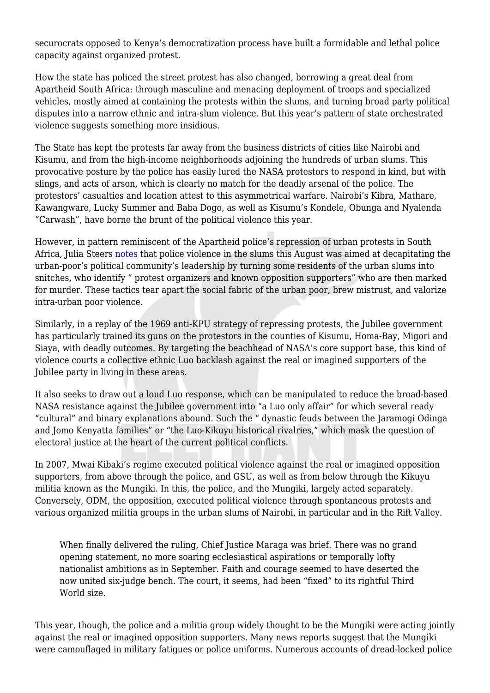securocrats opposed to Kenya's democratization process have built a formidable and lethal police capacity against organized protest.

How the state has policed the street protest has also changed, borrowing a great deal from Apartheid South Africa: through masculine and menacing deployment of troops and specialized vehicles, mostly aimed at containing the protests within the slums, and turning broad party political disputes into a narrow ethnic and intra-slum violence. But this year's pattern of state orchestrated violence suggests something more insidious.

The State has kept the protests far away from the business districts of cities like Nairobi and Kisumu, and from the high-income neighborhoods adjoining the hundreds of urban slums. This provocative posture by the police has easily lured the NASA protestors to respond in kind, but with slings, and acts of arson, which is clearly no match for the deadly arsenal of the police. The protestors' casualties and location attest to this asymmetrical warfare. Nairobi's Kibra, Mathare, Kawangware, Lucky Summer and Baba Dogo, as well as Kisumu's Kondele, Obunga and Nyalenda "Carwash", have borne the brunt of the political violence this year.

However, in pattern reminiscent of the Apartheid police's repression of urban protests in South Africa, Julia Steers [notes](https://news.vice.com/story/kenyas-police-killings) that police violence in the slums this August was aimed at decapitating the urban-poor's political community's leadership by turning some residents of the urban slums into snitches, who identify " protest organizers and known opposition supporters" who are then marked for murder. These tactics tear apart the social fabric of the urban poor, brew mistrust, and valorize intra-urban poor violence.

Similarly, in a replay of the 1969 anti-KPU strategy of repressing protests, the Jubilee government has particularly trained its guns on the protestors in the counties of Kisumu, Homa-Bay, Migori and Siaya, with deadly outcomes. By targeting the beachhead of NASA's core support base, this kind of violence courts a collective ethnic Luo backlash against the real or imagined supporters of the Jubilee party in living in these areas.

It also seeks to draw out a loud Luo response, which can be manipulated to reduce the broad-based NASA resistance against the Jubilee government into "a Luo only affair" for which several ready "cultural" and binary explanations abound. Such the " dynastic feuds between the Jaramogi Odinga and Jomo Kenyatta families" or "the Luo-Kikuyu historical rivalries," which mask the question of electoral justice at the heart of the current political conflicts.

In 2007, Mwai Kibaki's regime executed political violence against the real or imagined opposition supporters, from above through the police, and GSU, as well as from below through the Kikuyu militia known as the Mungiki. In this, the police, and the Mungiki, largely acted separately. Conversely, ODM, the opposition, executed political violence through spontaneous protests and various organized militia groups in the urban slums of Nairobi, in particular and in the Rift Valley.

When finally delivered the ruling, Chief Justice Maraga was brief. There was no grand opening statement, no more soaring ecclesiastical aspirations or temporally lofty nationalist ambitions as in September. Faith and courage seemed to have deserted the now united six-judge bench. The court, it seems, had been "fixed" to its rightful Third World size.

This year, though, the police and a militia group widely thought to be the Mungiki were acting jointly against the real or imagined opposition supporters. Many news reports suggest that the Mungiki were camouflaged in military fatigues or police uniforms. Numerous accounts of dread-locked police